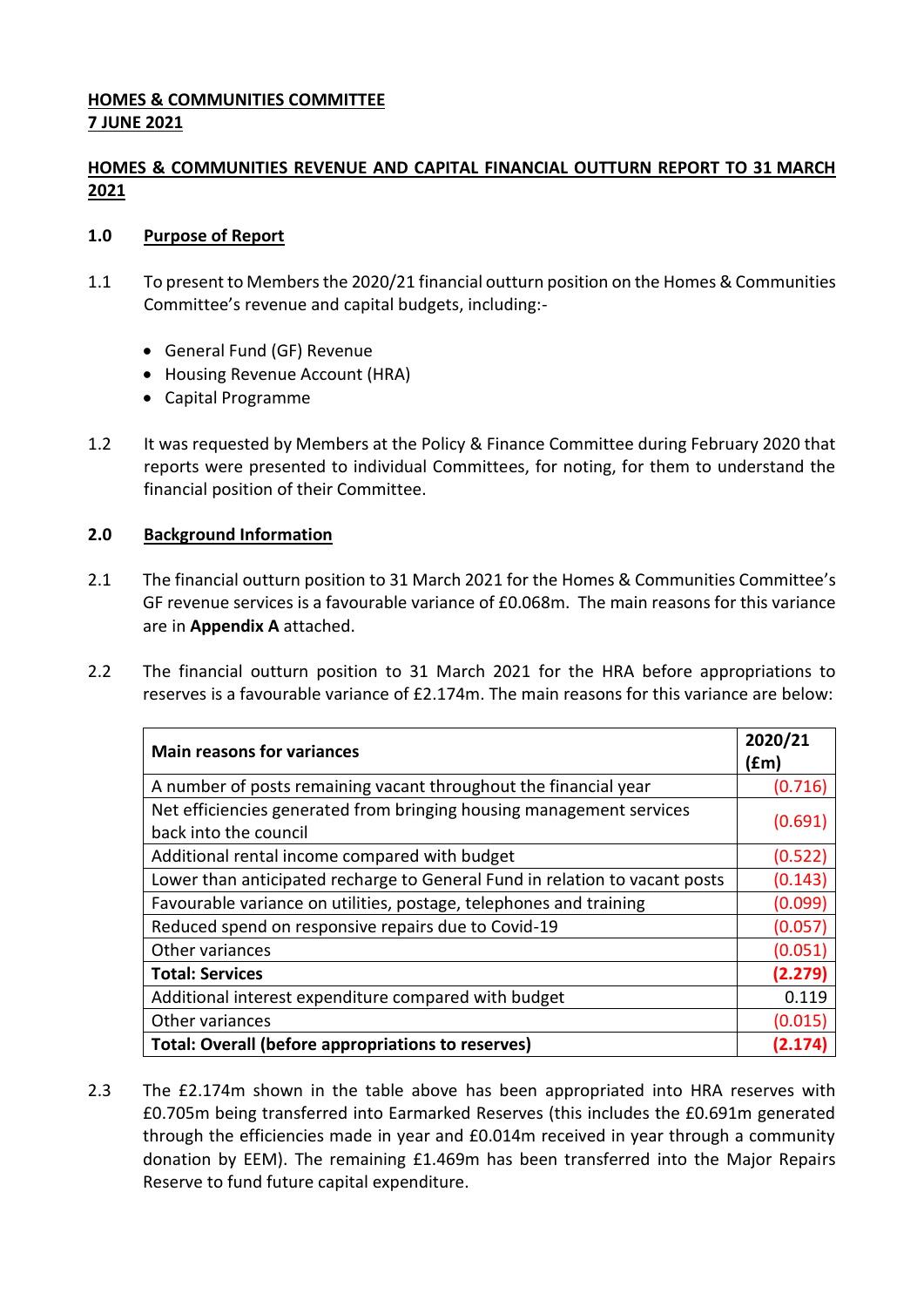## **HOMES & COMMUNITIES COMMITTEE 7 JUNE 2021**

# **HOMES & COMMUNITIES REVENUE AND CAPITAL FINANCIAL OUTTURN REPORT TO 31 MARCH 2021**

### **1.0 Purpose of Report**

- 1.1 To present to Members the 2020/21 financial outturn position on the Homes & Communities Committee's revenue and capital budgets, including:-
	- General Fund (GF) Revenue
	- Housing Revenue Account (HRA)
	- Capital Programme
- 1.2 It was requested by Members at the Policy & Finance Committee during February 2020 that reports were presented to individual Committees, for noting, for them to understand the financial position of their Committee.

## **2.0 Background Information**

- 2.1 The financial outturn position to 31 March 2021 for the Homes & Communities Committee's GF revenue services is a favourable variance of £0.068m. The main reasons for this variance are in **Appendix A** attached.
- 2.2 The financial outturn position to 31 March 2021 for the HRA before appropriations to reserves is a favourable variance of £2.174m. The main reasons for this variance are below:

| <b>Main reasons for variances</b>                                                             | 2020/21<br>(fm) |
|-----------------------------------------------------------------------------------------------|-----------------|
| A number of posts remaining vacant throughout the financial year                              | (0.716)         |
| Net efficiencies generated from bringing housing management services<br>back into the council | (0.691)         |
| Additional rental income compared with budget                                                 | (0.522)         |
| Lower than anticipated recharge to General Fund in relation to vacant posts                   | (0.143)         |
| Favourable variance on utilities, postage, telephones and training                            | (0.099)         |
| Reduced spend on responsive repairs due to Covid-19                                           | (0.057)         |
| Other variances                                                                               | (0.051)         |
| <b>Total: Services</b>                                                                        | (2.279)         |
| Additional interest expenditure compared with budget                                          | 0.119           |
| Other variances                                                                               | (0.015)         |
| <b>Total: Overall (before appropriations to reserves)</b>                                     | (2.174)         |

2.3 The £2.174m shown in the table above has been appropriated into HRA reserves with £0.705m being transferred into Earmarked Reserves (this includes the £0.691m generated through the efficiencies made in year and £0.014m received in year through a community donation by EEM). The remaining £1.469m has been transferred into the Major Repairs Reserve to fund future capital expenditure.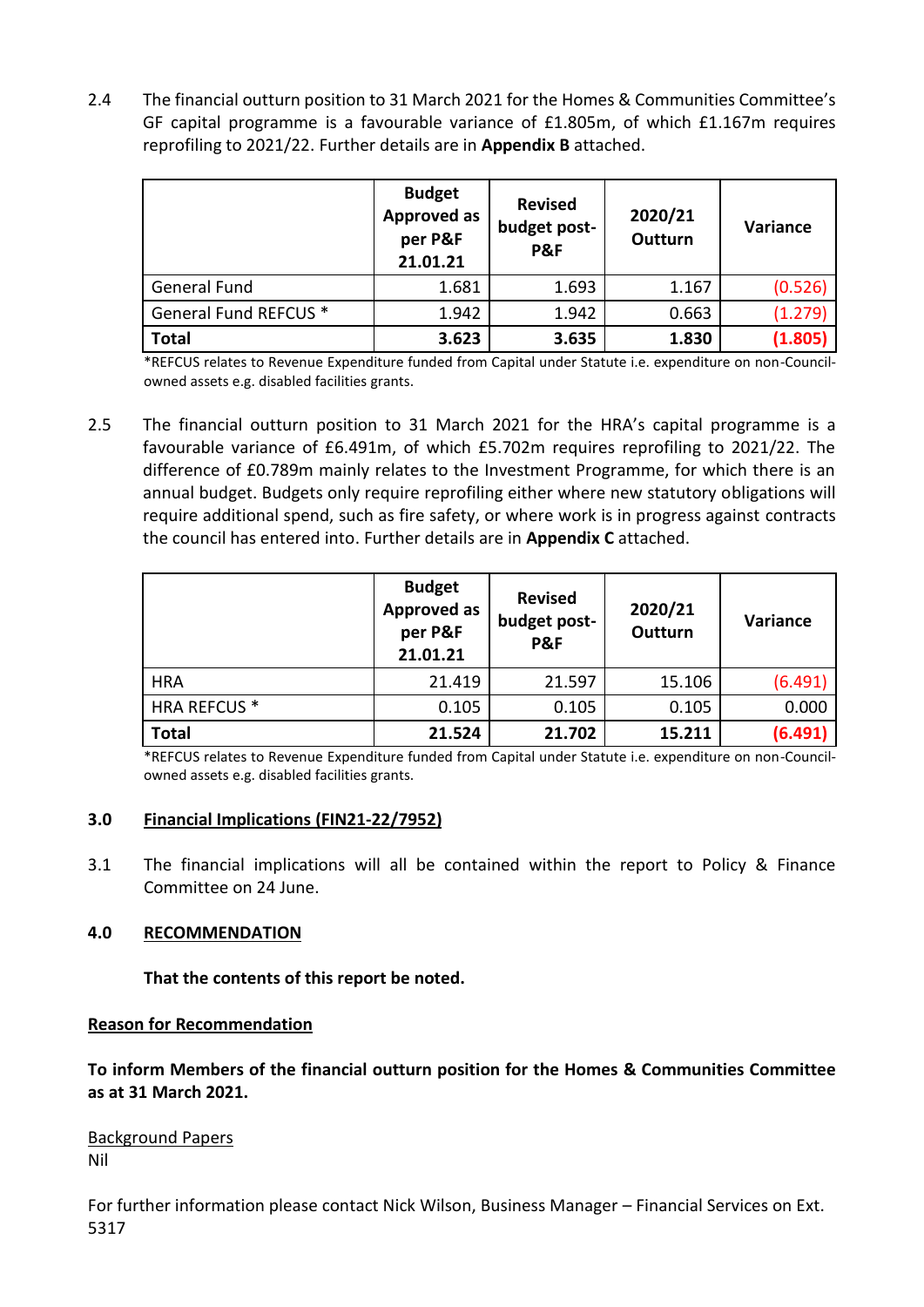2.4 The financial outturn position to 31 March 2021 for the Homes & Communities Committee's GF capital programme is a favourable variance of £1.805m, of which £1.167m requires reprofiling to 2021/22. Further details are in **Appendix B** attached.

|                       | <b>Budget</b><br><b>Approved as</b><br>per P&F<br>21.01.21 | <b>Revised</b><br>budget post-<br>P&F | 2020/21<br><b>Outturn</b> | Variance |
|-----------------------|------------------------------------------------------------|---------------------------------------|---------------------------|----------|
| <b>General Fund</b>   | 1.681                                                      | 1.693                                 | 1.167                     | (0.526)  |
| General Fund REFCUS * | 1.942                                                      | 1.942                                 | 0.663                     | (1.279)  |
| <b>Total</b>          | 3.623                                                      | 3.635                                 | 1.830                     | (1.805)  |

\*REFCUS relates to Revenue Expenditure funded from Capital under Statute i.e. expenditure on non-Councilowned assets e.g. disabled facilities grants.

2.5 The financial outturn position to 31 March 2021 for the HRA's capital programme is a favourable variance of £6.491m, of which £5.702m requires reprofiling to 2021/22. The difference of £0.789m mainly relates to the Investment Programme, for which there is an annual budget. Budgets only require reprofiling either where new statutory obligations will require additional spend, such as fire safety, or where work is in progress against contracts the council has entered into. Further details are in **Appendix C** attached.

|                     | <b>Budget</b><br><b>Approved as</b><br>per P&F<br>21.01.21 | <b>Revised</b><br>budget post-<br>P&F | 2020/21<br><b>Outturn</b> | Variance |
|---------------------|------------------------------------------------------------|---------------------------------------|---------------------------|----------|
| <b>HRA</b>          | 21.419                                                     | 21.597                                | 15.106                    | (6.491)  |
| <b>HRA REFCUS *</b> | 0.105                                                      | 0.105                                 | 0.105                     | 0.000    |
| <b>Total</b>        | 21.524                                                     | 21.702                                | 15.211                    | (6.491)  |

\*REFCUS relates to Revenue Expenditure funded from Capital under Statute i.e. expenditure on non-Councilowned assets e.g. disabled facilities grants.

#### **3.0 Financial Implications (FIN21-22/7952)**

3.1 The financial implications will all be contained within the report to Policy & Finance Committee on 24 June.

## **4.0 RECOMMENDATION**

## **That the contents of this report be noted.**

#### **Reason for Recommendation**

**To inform Members of the financial outturn position for the Homes & Communities Committee as at 31 March 2021.**

Background Papers Nil

For further information please contact Nick Wilson, Business Manager – Financial Services on Ext. 5317